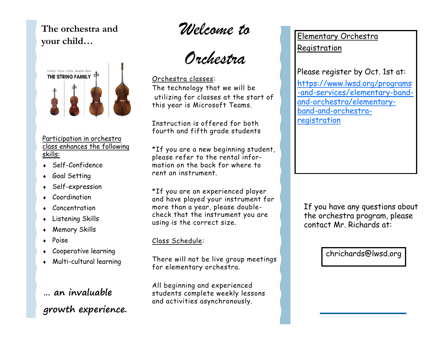**The orchestra and your child…**



#### Participation in orchestra class enhances the following skills:

- Self-Confidence
- Goal Setting
- Self-expression
- Coordination
- Concentration
- Listening Skills
- Memory Skills
- Poise
- Cooperative learning
- Multi-cultural learning

# **… an invaluable growth experience.**

*Welcome to* 

*Orchestra*

Orchestra classes: The technology that we will be utilizing for classes at the start of this year is Microsoft Teams.

Instruction is offered for both fourth and fifth grade students

\*If you are a new beginning student, please refer to the rental information on the back for where to rent an instrument.

\*If you are an experienced player and have played your instrument for more than a year, please doublecheck that the instrument you are using is the correct size.

### Class Schedule:

There will not be live group meetings for elementary orchestra.

All beginning and experienced students complete weekly lessons and activities asynchronously.

Elementary Orchestra Registration

Please register by Oct. 1st at: [https://www.lwsd.org/programs](https://www.lwsd.org/programs-and-services/elementary-band-and-orchestra/elementary-band-and-orchestra-registration) -and-[services/elementary](https://www.lwsd.org/programs-and-services/elementary-band-and-orchestra/elementary-band-and-orchestra-registration)-bandand-[orchestra/elementary](https://www.lwsd.org/programs-and-services/elementary-band-and-orchestra/elementary-band-and-orchestra-registration)band-and-[orchestra](https://www.lwsd.org/programs-and-services/elementary-band-and-orchestra/elementary-band-and-orchestra-registration)[registration](https://www.lwsd.org/programs-and-services/elementary-band-and-orchestra/elementary-band-and-orchestra-registration)

If you have any questions about the orchestra program, please contact Mr. Richards at:

chrichards@lwsd.org